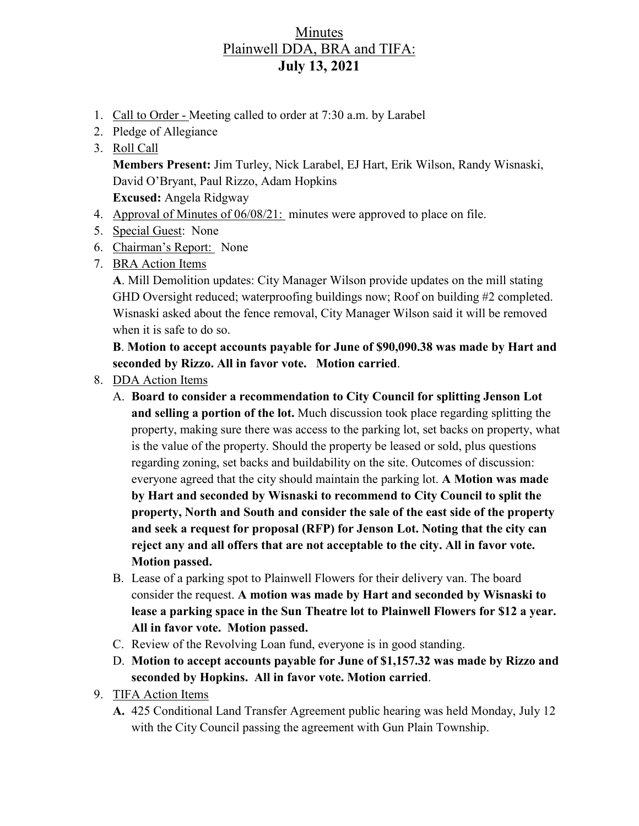## Minutes Plainwell DDA, BRA and TIFA: **July 13, 2021**

- 1. Call to Order Meeting called to order at 7:30 a.m. by Larabel
- 2. Pledge of Allegiance
- 3. Roll Call

**Members Present:** Jim Turley, Nick Larabel, EJ Hart, Erik Wilson, Randy Wisnaski, David O'Bryant, Paul Rizzo, Adam Hopkins **Excused:** Angela Ridgway

- 4. Approval of Minutes of 06/08/21: minutes were approved to place on file.
- 5. Special Guest: None
- 6. Chairman's Report: None
- 7. BRA Action Items

**A**. Mill Demolition updates: City Manager Wilson provide updates on the mill stating GHD Oversight reduced; waterproofing buildings now; Roof on building #2 completed. Wisnaski asked about the fence removal, City Manager Wilson said it will be removed when it is safe to do so.

**B**. **Motion to accept accounts payable for June of \$90,090.38 was made by Hart and seconded by Rizzo. All in favor vote. Motion carried**.

- 8. DDA Action Items
	- A. **Board to consider a recommendation to City Council for splitting Jenson Lot and selling a portion of the lot.** Much discussion took place regarding splitting the property, making sure there was access to the parking lot, set backs on property, what is the value of the property. Should the property be leased or sold, plus questions regarding zoning, set backs and buildability on the site. Outcomes of discussion: everyone agreed that the city should maintain the parking lot. **A Motion was made by Hart and seconded by Wisnaski to recommend to City Council to split the property, North and South and consider the sale of the east side of the property and seek a request for proposal (RFP) for Jenson Lot. Noting that the city can reject any and all offers that are not acceptable to the city. All in favor vote. Motion passed.**
	- B. Lease of a parking spot to Plainwell Flowers for their delivery van. The board consider the request. **A motion was made by Hart and seconded by Wisnaski to lease a parking space in the Sun Theatre lot to Plainwell Flowers for \$12 a year. All in favor vote. Motion passed.**
	- C. Review of the Revolving Loan fund, everyone is in good standing.
	- D. **Motion to accept accounts payable for June of \$1,157.32 was made by Rizzo and seconded by Hopkins. All in favor vote. Motion carried**.
- 9. TIFA Action Items
	- **A.** 425 Conditional Land Transfer Agreement public hearing was held Monday, July 12 with the City Council passing the agreement with Gun Plain Township.